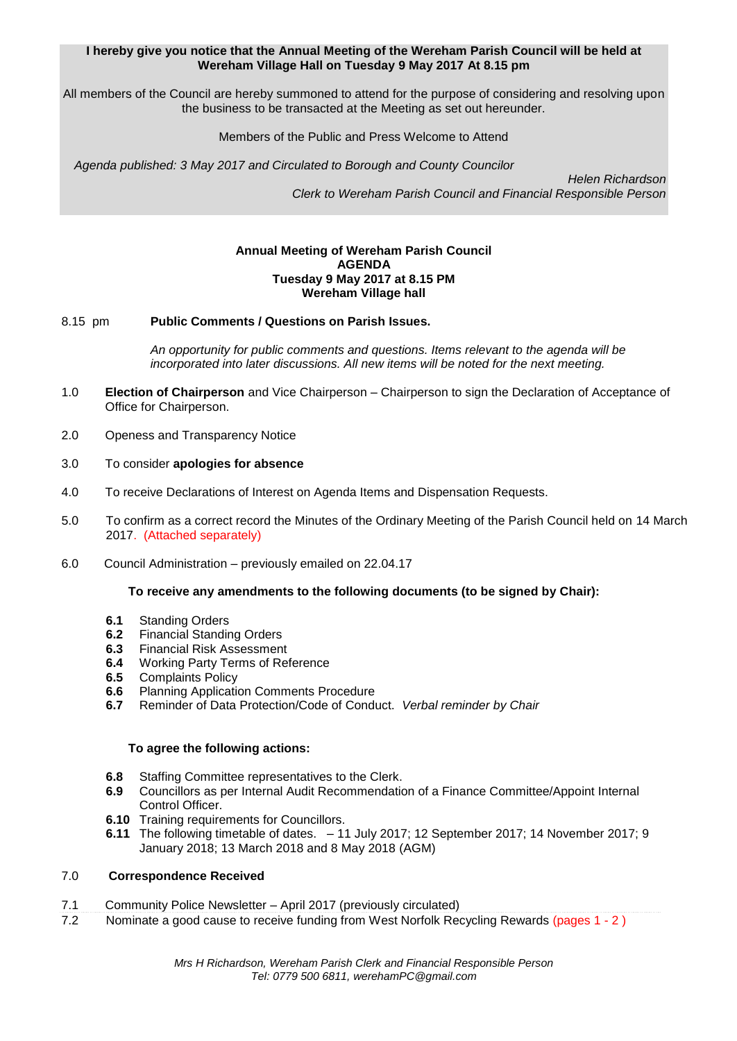## **I hereby give you notice that the Annual Meeting of the Wereham Parish Council will be held at Wereham Village Hall on Tuesday 9 May 2017 At 8.15 pm**

All members of the Council are hereby summoned to attend for the purpose of considering and resolving upon the business to be transacted at the Meeting as set out hereunder.

## Members of the Public and Press Welcome to Attend

*Agenda published: 3 May 2017 and Circulated to Borough and County Councilor* 

 *Helen Richardson Clerk to Wereham Parish Council and Financial Responsible Person*

## **Annual Meeting of Wereham Parish Council AGENDA Tuesday 9 May 2017 at 8.15 PM Wereham Village hall**

## 8.15 pm **Public Comments / Questions on Parish Issues.**

*An opportunity for public comments and questions. Items relevant to the agenda will be incorporated into later discussions. All new items will be noted for the next meeting.*

- 1.0 **Election of Chairperson** and Vice Chairperson Chairperson to sign the Declaration of Acceptance of Office for Chairperson.
- 2.0 Openess and Transparency Notice
- 3.0 To consider **apologies for absence**
- 4.0 To receive Declarations of Interest on Agenda Items and Dispensation Requests.
- 5.0 To confirm as a correct record the Minutes of the Ordinary Meeting of the Parish Council held on 14 March 2017. (Attached separately)
- 6.0 Council Administration previously emailed on 22.04.17

## **To receive any amendments to the following documents (to be signed by Chair):**

- **6.1** Standing Orders
- **6.2** Financial Standing Orders
- **6.3** Financial Risk Assessment
- **6.4** Working Party Terms of Reference
- **6.5** Complaints Policy
- **6.6** Planning Application Comments Procedure<br>**6.7** Reminder of Data Protection/Code of Condi
- **6.7** Reminder of Data Protection/Code of Conduct. *Verbal reminder by Chair*

## **To agree the following actions:**

- **6.8** Staffing Committee representatives to the Clerk.
- **6.9** Councillors as per Internal Audit Recommendation of a Finance Committee/Appoint Internal Control Officer.
- **6.10** Training requirements for Councillors.
- **6.11** The following timetable of dates. 11 July 2017; 12 September 2017; 14 November 2017; 9 January 2018; 13 March 2018 and 8 May 2018 (AGM)

## 7.0 **Correspondence Received**

- 7.1 Community Police Newsletter April 2017 (previously circulated)
- 7.2 Nominate a good cause to receive funding from West Norfolk Recycling Rewards (pages 1 2 )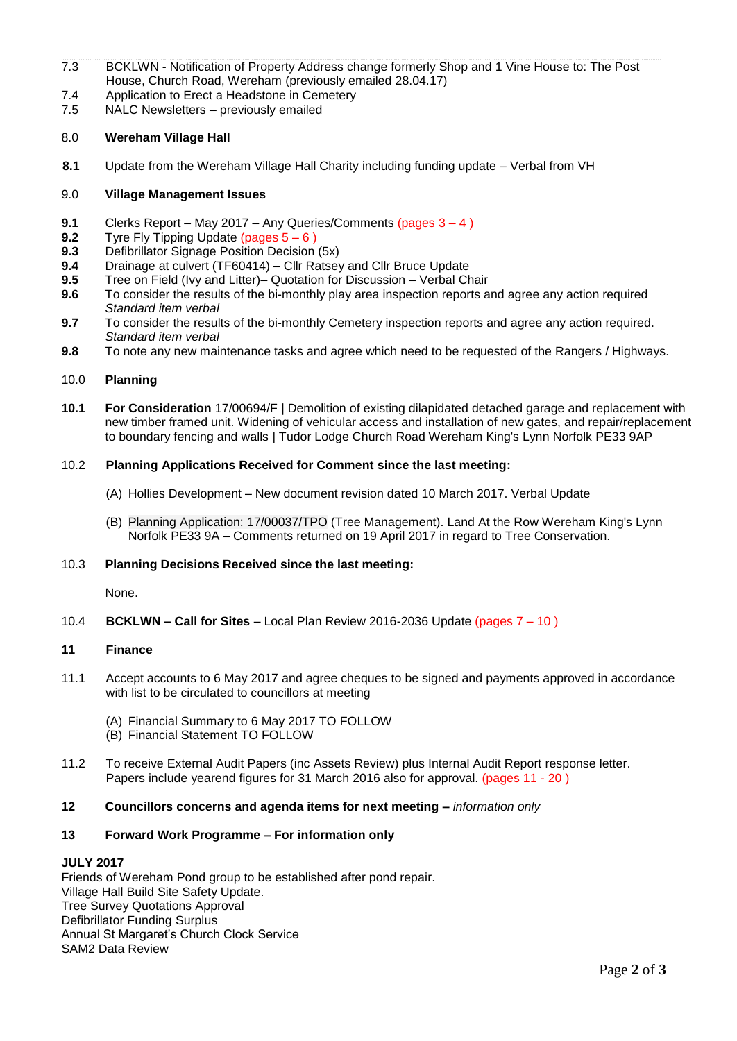- 7.3 BCKLWN Notification of Property Address change formerly Shop and 1 Vine House to: The Post House, Church Road, Wereham (previously emailed 28.04.17)
- 7.4 Application to Erect a Headstone in Cemetery
- 7.5 NALC Newsletters previously emailed

## 8.0 **Wereham Village Hall**

**8.1** Update from the Wereham Village Hall Charity including funding update – Verbal from VH

## 9.0 **Village Management Issues**

- **9.1** Clerks Report May 2017 Any Queries/Comments (pages 3 4)<br>**9.2** Tyre Fly Tipping Update (pages 5 6)
- **9.2** Tyre Fly Tipping Update (pages  $5-6$ )<br>**9.3** Defibrillator Signage Position Decision
- **9.3** Defibrillator Signage Position Decision (5x)
- **9.4** Drainage at culvert (TF60414) Cllr Ratsey and Cllr Bruce Update
- **9.5** Tree on Field (Ivy and Litter)– Quotation for Discussion Verbal Chair
- **9.6** To consider the results of the bi-monthly play area inspection reports and agree any action required *Standard item verbal*
- **9.7** To consider the results of the bi-monthly Cemetery inspection reports and agree any action required. *Standard item verbal*
- **9.8** To note any new maintenance tasks and agree which need to be requested of the Rangers / Highways.

#### 10.0 **Planning**

**10.1 For Consideration** 17/00694/F | Demolition of existing dilapidated detached garage and replacement with new timber framed unit. Widening of vehicular access and installation of new gates, and repair/replacement to boundary fencing and walls | Tudor Lodge Church Road Wereham King's Lynn Norfolk PE33 9AP

## 10.2 **Planning Applications Received for Comment since the last meeting:**

- (A) Hollies Development New document revision dated 10 March 2017. Verbal Update
- (B) Planning Application: 17/00037/TPO (Tree Management). Land At the Row Wereham King's Lynn Norfolk PE33 9A – Comments returned on 19 April 2017 in regard to Tree Conservation.

#### 10.3 **Planning Decisions Received since the last meeting:**

None.

10.4 **BCKLWN – Call for Sites** – Local Plan Review 2016-2036 Update (pages 7 – 10 )

#### **11 Finance**

- 11.1 Accept accounts to 6 May 2017 and agree cheques to be signed and payments approved in accordance with list to be circulated to councillors at meeting
	- (A) Financial Summary to 6 May 2017 TO FOLLOW
	- (B) Financial Statement TO FOLLOW
- 11.2 To receive External Audit Papers (inc Assets Review) plus Internal Audit Report response letter. Papers include yearend figures for 31 March 2016 also for approval. (pages 11 - 20 )

# **12 Councillors concerns and agenda items for next meeting –** *information only*

# **13 Forward Work Programme – For information only**

## **JULY 2017**

Friends of Wereham Pond group to be established after pond repair. Village Hall Build Site Safety Update. Tree Survey Quotations Approval Defibrillator Funding Surplus Annual St Margaret's Church Clock Service SAM2 Data Review